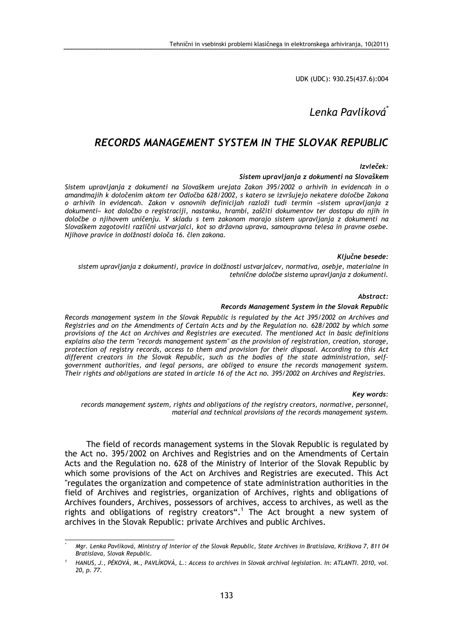UDK (UDC): 930.25(437.6):004

# Lenka Pavlíková<sup>\*</sup>

## RECORDS MANAGEMENT SYSTEM IN THE SLOVAK REPUBLIC

#### Izvleček:

#### Sistem upravljanja z dokumenti na Slovaškem

Sistem upravljanja z dokumenti na Slovaškem urejata Zakon 395/2002 o arhivih in evidencah in o amandmajih k določenim aktom ter Odločba 628/2002, s katero se izvršujejo nekatere določbe Zakona o arhivih in evidencah. Zakon v osnovnih definicijah razloži tudi termin »sistem upravljanja z dokumenti« kot določbo o registraciji, nastanku, hrambi, zaščiti dokumentov ter dostopu do njih in določbe o njihovem uničenju. V skladu s tem zakonom morajo sistem upravljanja z dokumenti na Slovaškem zagotoviti različni ustvarjalci, kot so državna uprava, samoupravna telesa in pravne osebe. Njihove pravice in dolžnosti določa 16. člen zakona.

#### Ključne besede:

sistem upravljanja z dokumenti, pravice in dolžnosti ustvarjalcev, normativa, osebje, materialne in tehnične določbe sistema upravljanja z dokumenti.

#### Abstract:

#### Records Management System in the Slovak Republic

Records management system in the Slovak Republic is regulated by the Act 395/2002 on Archives and Registries and on the Amendments of Certain Acts and by the Regulation no. 628/2002 by which some provisions of the Act on Archives and Registries are executed. The mentioned Act in basic definitions explains also the term "records management system" as the provision of registration, creation, storage, protection of registry records, access to them and provision for their disposal. According to this Act different creators in the Slovak Republic, such as the bodies of the state administration, selfgovernment authorities, and legal persons, are obliged to ensure the records management system. Their rights and obligations are stated in article 16 of the Act no. 395/2002 on Archives and Registries.

#### Key words:

records management system, rights and obligations of the registry creators, normative, personnel, material and technical provisions of the records management system.

The field of records management systems in the Slovak Republic is regulated by the Act no. 395/2002 on Archives and Registries and on the Amendments of Certain Acts and the Regulation no. 628 of the Ministry of Interior of the Slovak Republic by which some provisions of the Act on Archives and Registries are executed. This Act "regulates the organization and competence of state administration authorities in the field of Archives and registries, organization of Archives, rights and obligations of Archives founders, Archives, possessors of archives, access to archives, as well as the rights and obligations of registry creators".<sup>1</sup> The Act brought a new system of archives in the Slovak Republic: private Archives and public Archives.

l

<sup>\*</sup> Mgr. Lenka Pavlíková, Ministry of Interior of the Slovak Republic, State Archives in Bratislava, Križkova 7, 811 04 Bratislava, Slovak Republic.

<sup>1</sup> HANUS, J., PÉKOVÁ, M., PAVLÍKOVÁ, L.: Access to archives in Slovak archival legislation. In: ATLANTI. 2010, vol. 20, p. 77.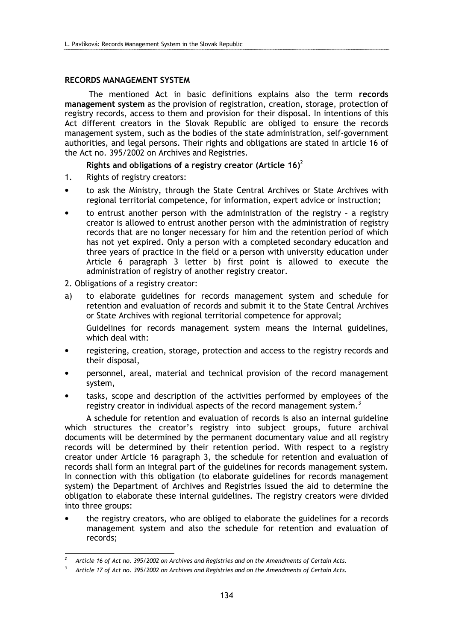### RECORDS MANAGEMENT SYSTEM

 The mentioned Act in basic definitions explains also the term records management system as the provision of registration, creation, storage, protection of registry records, access to them and provision for their disposal. In intentions of this Act different creators in the Slovak Republic are obliged to ensure the records management system, such as the bodies of the state administration, self-government authorities, and legal persons. Their rights and obligations are stated in article 16 of the Act no. 395/2002 on Archives and Registries.

Rights and obligations of a registry creator (Article 16)<sup>2</sup>

- 1. Rights of registry creators:
- to ask the Ministry, through the State Central Archives or State Archives with regional territorial competence, for information, expert advice or instruction;
- to entrust another person with the administration of the registry a registry creator is allowed to entrust another person with the administration of registry records that are no longer necessary for him and the retention period of which has not yet expired. Only a person with a completed secondary education and three years of practice in the field or a person with university education under Article 6 paragraph 3 letter b) first point is allowed to execute the administration of registry of another registry creator.

2. Obligations of a registry creator:

l

a) to elaborate guidelines for records management system and schedule for retention and evaluation of records and submit it to the State Central Archives or State Archives with regional territorial competence for approval;

Guidelines for records management system means the internal guidelines, which deal with:

- registering, creation, storage, protection and access to the registry records and their disposal,
- personnel, areal, material and technical provision of the record management system,
- tasks, scope and description of the activities performed by employees of the registry creator in individual aspects of the record management system.<sup>3</sup>

A schedule for retention and evaluation of records is also an internal guideline which structures the creator's registry into subject groups, future archival documents will be determined by the permanent documentary value and all registry records will be determined by their retention period. With respect to a registry creator under Article 16 paragraph 3, the schedule for retention and evaluation of records shall form an integral part of the guidelines for records management system. In connection with this obligation (to elaborate guidelines for records management system) the Department of Archives and Registries issued the aid to determine the obligation to elaborate these internal guidelines. The registry creators were divided into three groups:

• the registry creators, who are obliged to elaborate the guidelines for a records management system and also the schedule for retention and evaluation of records;

<sup>2</sup> Article 16 of Act no. 395/2002 on Archives and Registries and on the Amendments of Certain Acts.

<sup>3</sup> Article 17 of Act no. 395/2002 on Archives and Registries and on the Amendments of Certain Acts.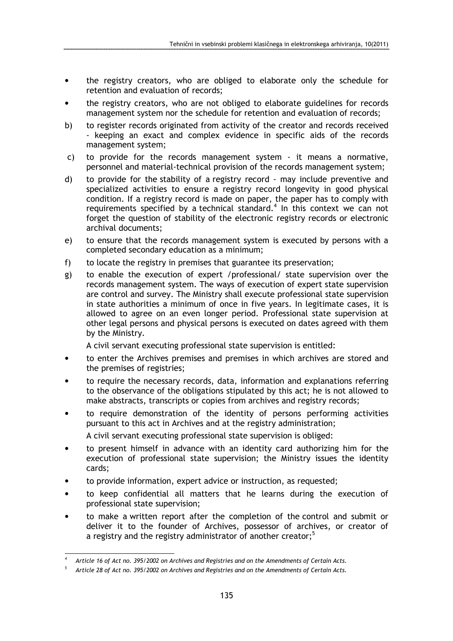- the registry creators, who are obliged to elaborate only the schedule for retention and evaluation of records;
- the registry creators, who are not obliged to elaborate guidelines for records management system nor the schedule for retention and evaluation of records;
- b) to register records originated from activity of the creator and records received - keeping an exact and complex evidence in specific aids of the records management system;
- c) to provide for the records management system it means a normative, personnel and material-technical provision of the records management system;
- d) to provide for the stability of a registry record may include preventive and specialized activities to ensure a registry record longevity in good physical condition. If a registry record is made on paper, the paper has to comply with requirements specified by a technical standard. $4$  In this context we can not forget the question of stability of the electronic registry records or electronic archival documents;
- e) to ensure that the records management system is executed by persons with a completed secondary education as a minimum;
- f) to locate the registry in premises that guarantee its preservation;
- g) to enable the execution of expert /professional/ state supervision over the records management system. The ways of execution of expert state supervision are control and survey. The Ministry shall execute professional state supervision in state authorities a minimum of once in five years. In legitimate cases, it is allowed to agree on an even longer period. Professional state supervision at other legal persons and physical persons is executed on dates agreed with them by the Ministry.

A civil servant executing professional state supervision is entitled:

- to enter the Archives premises and premises in which archives are stored and the premises of registries;
- to require the necessary records, data, information and explanations referring to the observance of the obligations stipulated by this act; he is not allowed to make abstracts, transcripts or copies from archives and registry records;
- to require demonstration of the identity of persons performing activities pursuant to this act in Archives and at the registry administration; A civil servant executing professional state supervision is obliged:
- to present himself in advance with an identity card authorizing him for the execution of professional state supervision; the Ministry issues the identity cards;
- to provide information, expert advice or instruction, as requested;
- to keep confidential all matters that he learns during the execution of professional state supervision;
- to make a written report after the completion of the control and submit or deliver it to the founder of Archives, possessor of archives, or creator of a registry and the registry administrator of another creator;<sup>5</sup>

l

<sup>4</sup>Article 16 of Act no. 395/2002 on Archives and Registries and on the Amendments of Certain Acts.

<sup>5</sup> Article 28 of Act no. 395/2002 on Archives and Registries and on the Amendments of Certain Acts.